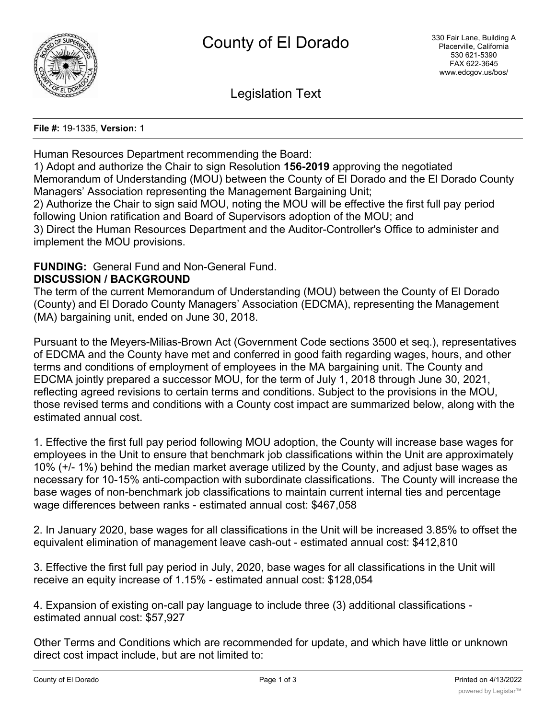

Legislation Text

#### **File #:** 19-1335, **Version:** 1

Human Resources Department recommending the Board:

1) Adopt and authorize the Chair to sign Resolution **156-2019** approving the negotiated Memorandum of Understanding (MOU) between the County of El Dorado and the El Dorado County Managers' Association representing the Management Bargaining Unit; 2) Authorize the Chair to sign said MOU, noting the MOU will be effective the first full pay period following Union ratification and Board of Supervisors adoption of the MOU; and 3) Direct the Human Resources Department and the Auditor-Controller's Office to administer and

implement the MOU provisions.

# **FUNDING:** General Fund and Non-General Fund.

### **DISCUSSION / BACKGROUND**

The term of the current Memorandum of Understanding (MOU) between the County of El Dorado (County) and El Dorado County Managers' Association (EDCMA), representing the Management (MA) bargaining unit, ended on June 30, 2018.

Pursuant to the Meyers-Milias-Brown Act (Government Code sections 3500 et seq.), representatives of EDCMA and the County have met and conferred in good faith regarding wages, hours, and other terms and conditions of employment of employees in the MA bargaining unit. The County and EDCMA jointly prepared a successor MOU, for the term of July 1, 2018 through June 30, 2021, reflecting agreed revisions to certain terms and conditions. Subject to the provisions in the MOU, those revised terms and conditions with a County cost impact are summarized below, along with the estimated annual cost.

1. Effective the first full pay period following MOU adoption, the County will increase base wages for employees in the Unit to ensure that benchmark job classifications within the Unit are approximately 10% (+/- 1%) behind the median market average utilized by the County, and adjust base wages as necessary for 10-15% anti-compaction with subordinate classifications. The County will increase the base wages of non-benchmark job classifications to maintain current internal ties and percentage wage differences between ranks - estimated annual cost: \$467,058

2. In January 2020, base wages for all classifications in the Unit will be increased 3.85% to offset the equivalent elimination of management leave cash-out - estimated annual cost: \$412,810

3. Effective the first full pay period in July, 2020, base wages for all classifications in the Unit will receive an equity increase of 1.15% - estimated annual cost: \$128,054

4. Expansion of existing on-call pay language to include three (3) additional classifications estimated annual cost: \$57,927

Other Terms and Conditions which are recommended for update, and which have little or unknown direct cost impact include, but are not limited to: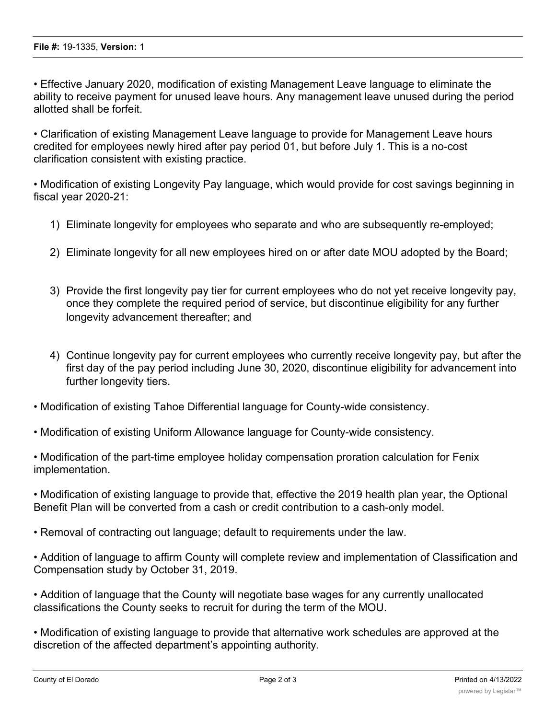• Effective January 2020, modification of existing Management Leave language to eliminate the ability to receive payment for unused leave hours. Any management leave unused during the period allotted shall be forfeit.

• Clarification of existing Management Leave language to provide for Management Leave hours credited for employees newly hired after pay period 01, but before July 1. This is a no-cost clarification consistent with existing practice.

• Modification of existing Longevity Pay language, which would provide for cost savings beginning in fiscal year 2020-21:

- 1) Eliminate longevity for employees who separate and who are subsequently re-employed;
- 2) Eliminate longevity for all new employees hired on or after date MOU adopted by the Board;
- 3) Provide the first longevity pay tier for current employees who do not yet receive longevity pay, once they complete the required period of service, but discontinue eligibility for any further longevity advancement thereafter; and
- 4) Continue longevity pay for current employees who currently receive longevity pay, but after the first day of the pay period including June 30, 2020, discontinue eligibility for advancement into further longevity tiers.
- Modification of existing Tahoe Differential language for County-wide consistency.
- Modification of existing Uniform Allowance language for County-wide consistency.

• Modification of the part-time employee holiday compensation proration calculation for Fenix implementation.

• Modification of existing language to provide that, effective the 2019 health plan year, the Optional Benefit Plan will be converted from a cash or credit contribution to a cash-only model.

- Removal of contracting out language; default to requirements under the law.
- Addition of language to affirm County will complete review and implementation of Classification and Compensation study by October 31, 2019.

• Addition of language that the County will negotiate base wages for any currently unallocated classifications the County seeks to recruit for during the term of the MOU.

• Modification of existing language to provide that alternative work schedules are approved at the discretion of the affected department's appointing authority.